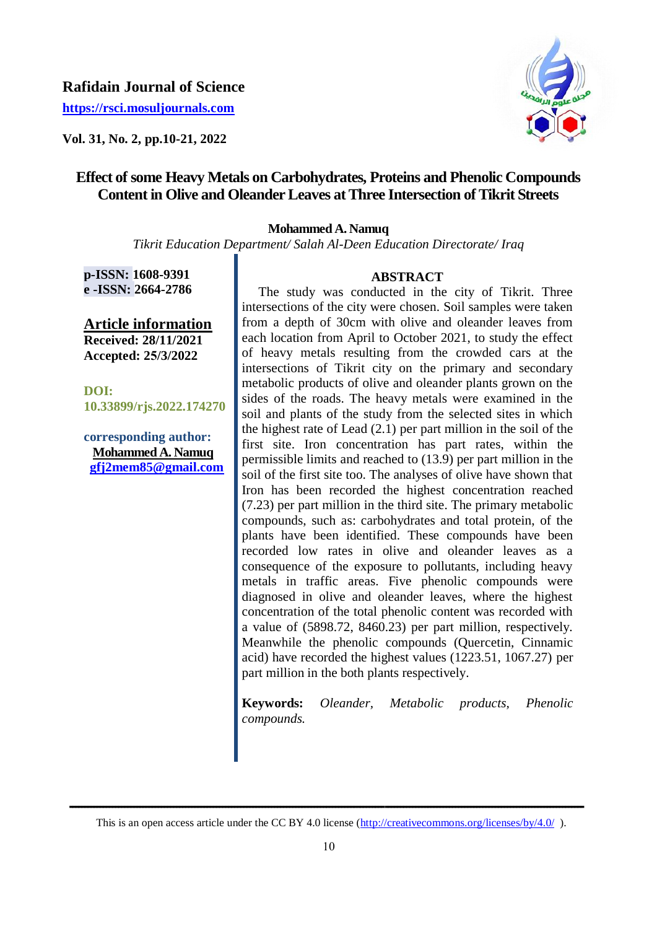## **Rafidain Journal of Science**

**[https://rsci.mosuljournals.com](https://rsci.mosuljournals.com/)**

**Vol. 31, No. 2, pp.10-21, 2022**



# **Effect of some Heavy Metals on Carbohydrates, Proteins and Phenolic Compounds Content in Olive and Oleander Leaves at Three Intersection of Tikrit Streets**

#### **Mohammed A. Namuq**

*Tikrit Education Department/ Salah Al-Deen Education Directorate/ Iraq*

**p-ISSN: 1608-9391 e -ISSN: 2664-2786**

**Article information Received: 28/11/2021 Accepted: 25/3/2022**

**DOI: 10.33899/rjs.2022.174270**

**corresponding author: Mohammed A. Namuq [gfj2mem85@gmail.com](mailto:gfj2mem85@gmail.com)**

## **ABSTRACT**

 The study was conducted in the city of Tikrit. Three intersections of the city were chosen. Soil samples were taken from a depth of 30cm with olive and oleander leaves from each location from April to October 2021, to study the effect of heavy metals resulting from the crowded cars at the intersections of Tikrit city on the primary and secondary metabolic products of olive and oleander plants grown on the sides of the roads. The heavy metals were examined in the soil and plants of the study from the selected sites in which the highest rate of Lead (2.1) per part million in the soil of the first site. Iron concentration has part rates, within the permissible limits and reached to (13.9) per part million in the soil of the first site too. The analyses of olive have shown that Iron has been recorded the highest concentration reached (7.23) per part million in the third site. The primary metabolic compounds, such as: carbohydrates and total protein, of the plants have been identified. These compounds have been recorded low rates in olive and oleander leaves as a consequence of the exposure to pollutants, including heavy metals in traffic areas. Five phenolic compounds were diagnosed in olive and oleander leaves, where the highest concentration of the total phenolic content was recorded with a value of (5898.72, 8460.23) per part million, respectively. Meanwhile the phenolic compounds (Quercetin, Cinnamic acid) have recorded the highest values (1223.51, 1067.27) per part million in the both plants respectively.

**Keywords:** *Oleander, Metabolic products, Phenolic compounds.*

**ــــــــــــــــــــــــــــــــــــــــــــــــــــــــــــــــــــــــــــــــــــــــــــــــــــــــــــــــــــــــــــــــــــــــــــــــــــــــــــــــــــــــ**  This is an open access article under the CC BY 4.0 license (http://creativecommons.org/licenses/by/4.0/).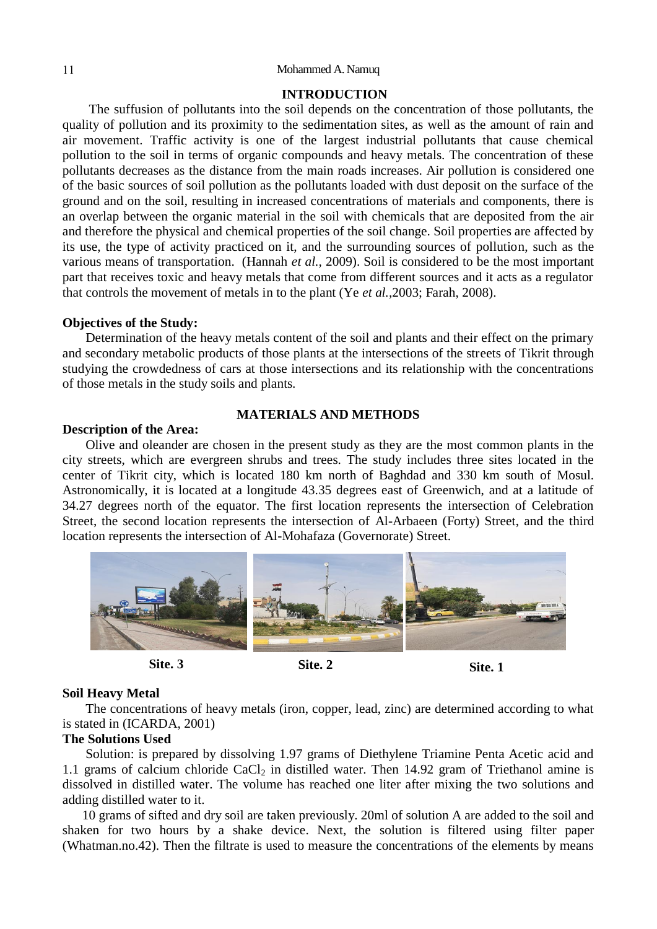## **INTRODUCTION**

 The suffusion of pollutants into the soil depends on the concentration of those pollutants, the quality of pollution and its proximity to the sedimentation sites, as well as the amount of rain and air movement. Traffic activity is one of the largest industrial pollutants that cause chemical pollution to the soil in terms of organic compounds and heavy metals. The concentration of these pollutants decreases as the distance from the main roads increases. Air pollution is considered one of the basic sources of soil pollution as the pollutants loaded with dust deposit on the surface of the ground and on the soil, resulting in increased concentrations of materials and components, there is an overlap between the organic material in the soil with chemicals that are deposited from the air and therefore the physical and chemical properties of the soil change. Soil properties are affected by its use, the type of activity practiced on it, and the surrounding sources of pollution, such as the various means of transportation. (Hannah *et al.,* 2009). Soil is considered to be the most important part that receives toxic and heavy metals that come from different sources and it acts as a regulator that controls the movement of metals in to the plant (Ye *et al.,*2003; Farah, 2008).

#### **Objectives of the Study:**

 Determination of the heavy metals content of the soil and plants and their effect on the primary and secondary metabolic products of those plants at the intersections of the streets of Tikrit through studying the crowdedness of cars at those intersections and its relationship with the concentrations of those metals in the study soils and plants.

## **Description of the Area:**

#### **MATERIALS AND METHODS**

 Olive and oleander are chosen in the present study as they are the most common plants in the city streets, which are evergreen shrubs and trees. The study includes three sites located in the center of Tikrit city, which is located 180 km north of Baghdad and 330 km south of Mosul. Astronomically, it is located at a longitude 43.35 degrees east of Greenwich, and at a latitude of 34.27 degrees north of the equator. The first location represents the intersection of Celebration Street, the second location represents the intersection of Al-Arbaeen (Forty) Street, and the third location represents the intersection of Al-Mohafaza (Governorate) Street.





## **Soil Heavy Metal**

 The concentrations of heavy metals (iron, copper, lead, zinc) are determined according to what is stated in (ICARDA, 2001)

## **The Solutions Used**

 Solution: is prepared by dissolving 1.97 grams of Diethylene Triamine Penta Acetic acid and 1.1 grams of calcium chloride  $CaCl<sub>2</sub>$  in distilled water. Then 14.92 gram of Triethanol amine is dissolved in distilled water. The volume has reached one liter after mixing the two solutions and adding distilled water to it.

 10 grams of sifted and dry soil are taken previously. 20ml of solution A are added to the soil and shaken for two hours by a shake device. Next, the solution is filtered using filter paper (Whatman.no.42). Then the filtrate is used to measure the concentrations of the elements by means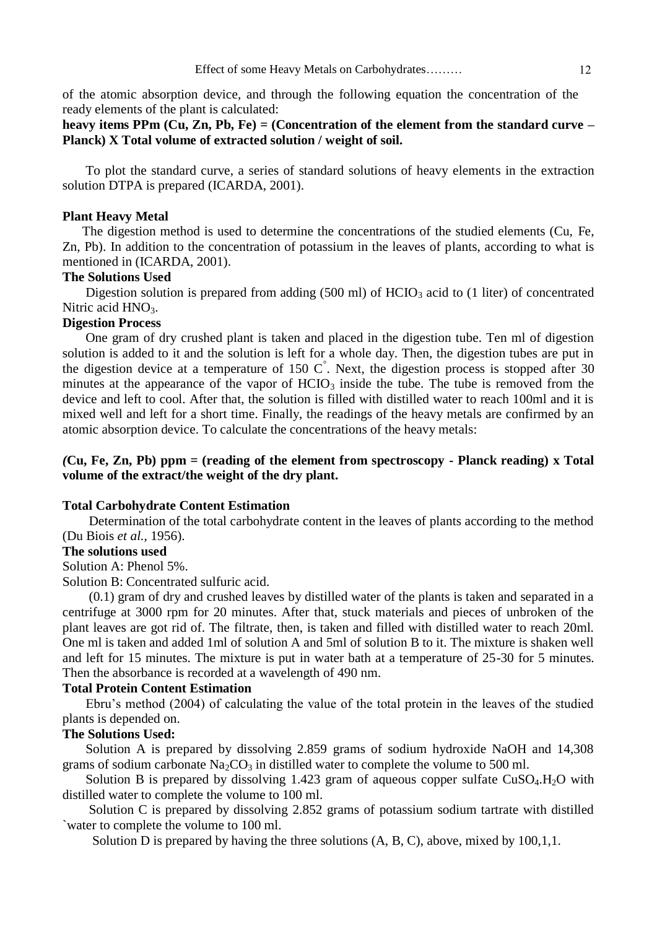of the atomic absorption device, and through the following equation the concentration of the ready elements of the plant is calculated:

## **heavy items PPm (Cu, Zn, Pb, Fe) = (Concentration of the element from the standard curve – Planck) X Total volume of extracted solution / weight of soil.**

 To plot the standard curve, a series of standard solutions of heavy elements in the extraction solution DTPA is prepared (ICARDA, 2001).

## **Plant Heavy Metal**

 The digestion method is used to determine the concentrations of the studied elements (Cu, Fe, Zn, Pb). In addition to the concentration of potassium in the leaves of plants, according to what is mentioned in (ICARDA, 2001).

## **The Solutions Used**

Digestion solution is prepared from adding  $(500 \text{ ml})$  of HCIO<sub>3</sub> acid to  $(1 \text{ liter})$  of concentrated Nitric acid  $HNO<sub>3</sub>$ .

## **Digestion Process**

 One gram of dry crushed plant is taken and placed in the digestion tube. Ten ml of digestion solution is added to it and the solution is left for a whole day. Then, the digestion tubes are put in the digestion device at a temperature of 150  $\degree$ . Next, the digestion process is stopped after 30 minutes at the appearance of the vapor of  $HCIO_3$  inside the tube. The tube is removed from the device and left to cool. After that, the solution is filled with distilled water to reach 100ml and it is mixed well and left for a short time. Finally, the readings of the heavy metals are confirmed by an atomic absorption device. To calculate the concentrations of the heavy metals:

## *(***Cu, Fe, Zn, Pb) ppm = (reading of the element from spectroscopy - Planck reading) x Total volume of the extract/the weight of the dry plant.**

#### **Total Carbohydrate Content Estimation**

 Determination of the total carbohydrate content in the leaves of plants according to the method (Du Biois *et al.,* 1956).

#### **The solutions used**

Solution A: Phenol 5%.

Solution B: Concentrated sulfuric acid.

 (0.1) gram of dry and crushed leaves by distilled water of the plants is taken and separated in a centrifuge at 3000 rpm for 20 minutes. After that, stuck materials and pieces of unbroken of the plant leaves are got rid of. The filtrate, then, is taken and filled with distilled water to reach 20ml. One ml is taken and added 1ml of solution A and 5ml of solution B to it. The mixture is shaken well and left for 15 minutes. The mixture is put in water bath at a temperature of 25-30 for 5 minutes. Then the absorbance is recorded at a wavelength of 490 nm.

#### **Total Protein Content Estimation**

 Ebru"s method (2004) of calculating the value of the total protein in the leaves of the studied plants is depended on.

## **The Solutions Used:**

 Solution A is prepared by dissolving 2.859 grams of sodium hydroxide NaOH and 14,308 grams of sodium carbonate  $Na<sub>2</sub>CO<sub>3</sub>$  in distilled water to complete the volume to 500 ml.

Solution B is prepared by dissolving 1.423 gram of aqueous copper sulfate  $CuSO<sub>4</sub>$ .H<sub>2</sub>O with distilled water to complete the volume to 100 ml.

 Solution C is prepared by dissolving 2.852 grams of potassium sodium tartrate with distilled `water to complete the volume to 100 ml.

Solution D is prepared by having the three solutions  $(A, B, C)$ , above, mixed by 100,1,1.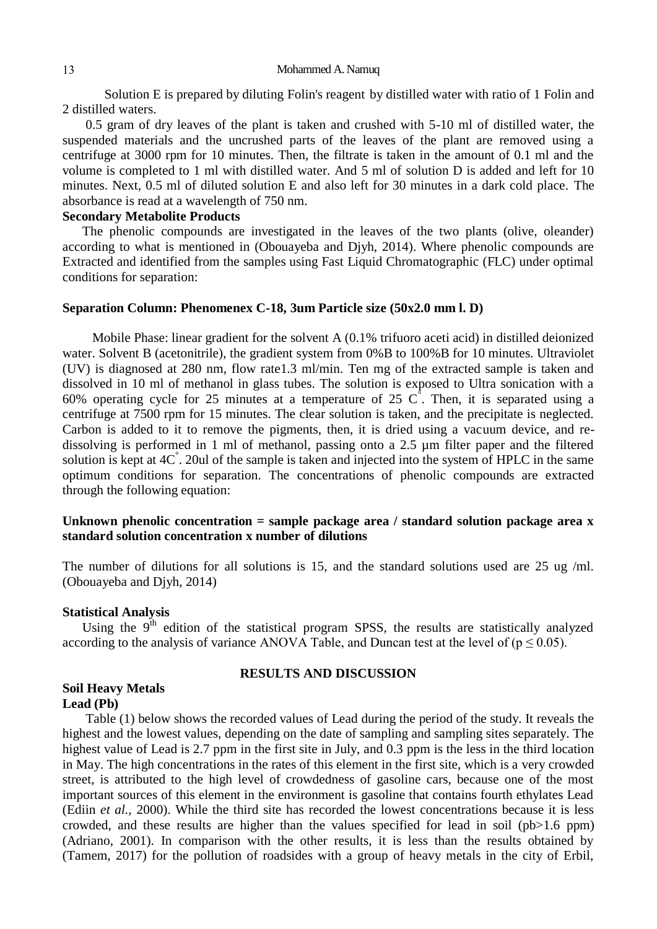Solution E is prepared by diluting Folin's reagent by distilled water with ratio of 1 Folin and 2 distilled waters.

 0.5 gram of dry leaves of the plant is taken and crushed with 5-10 ml of distilled water, the suspended materials and the uncrushed parts of the leaves of the plant are removed using a centrifuge at 3000 rpm for 10 minutes. Then, the filtrate is taken in the amount of 0.1 ml and the volume is completed to 1 ml with distilled water. And 5 ml of solution D is added and left for 10 minutes. Next, 0.5 ml of diluted solution E and also left for 30 minutes in a dark cold place. The absorbance is read at a wavelength of 750 nm.

## **Secondary Metabolite Products**

 The phenolic compounds are investigated in the leaves of the two plants (olive, oleander) according to what is mentioned in (Obouayeba and Djyh, 2014). Where phenolic compounds are Extracted and identified from the samples using Fast Liquid Chromatographic (FLC) under optimal conditions for separation:

## **Separation Column: Phenomenex C-18, 3um Particle size (50x2.0 mm l. D)**

 Mobile Phase: linear gradient for the solvent A (0.1% trifuoro aceti acid) in distilled deionized water. Solvent B (acetonitrile), the gradient system from 0%B to 100%B for 10 minutes. Ultraviolet (UV) is diagnosed at 280 nm, flow rate1.3 ml/min. Ten mg of the extracted sample is taken and dissolved in 10 ml of methanol in glass tubes. The solution is exposed to Ultra sonication with a 60% operating cycle for 25 minutes at a temperature of 25  $\overrightarrow{C}$ . Then, it is separated using a centrifuge at 7500 rpm for 15 minutes. The clear solution is taken, and the precipitate is neglected. Carbon is added to it to remove the pigments, then, it is dried using a vacuum device, and redissolving is performed in 1 ml of methanol, passing onto a 2.5 µm filter paper and the filtered solution is kept at 4C<sup>°</sup>. 20ul of the sample is taken and injected into the system of HPLC in the same optimum conditions for separation. The concentrations of phenolic compounds are extracted through the following equation:

## **Unknown phenolic concentration = sample package area / standard solution package area x standard solution concentration x number of dilutions**

The number of dilutions for all solutions is 15, and the standard solutions used are 25 ug /ml. (Obouayeba and Djyh, 2014)

## **Statistical Analysis**

Using the  $9<sup>th</sup>$  edition of the statistical program SPSS, the results are statistically analyzed according to the analysis of variance ANOVA Table, and Duncan test at the level of ( $p \le 0.05$ ).

## **RESULTS AND DISCUSSION**

## **Soil Heavy Metals Lead (Pb)**

 Table (1) below shows the recorded values of Lead during the period of the study. It reveals the highest and the lowest values, depending on the date of sampling and sampling sites separately. The highest value of Lead is 2.7 ppm in the first site in July, and 0.3 ppm is the less in the third location in May. The high concentrations in the rates of this element in the first site, which is a very crowded street, is attributed to the high level of crowdedness of gasoline cars, because one of the most important sources of this element in the environment is gasoline that contains fourth ethylates Lead (Ediin *et al.,* 2000). While the third site has recorded the lowest concentrations because it is less crowded, and these results are higher than the values specified for lead in soil (pb>1.6 ppm) (Adriano, 2001). In comparison with the other results, it is less than the results obtained by (Tamem, 2017) for the pollution of roadsides with a group of heavy metals in the city of Erbil,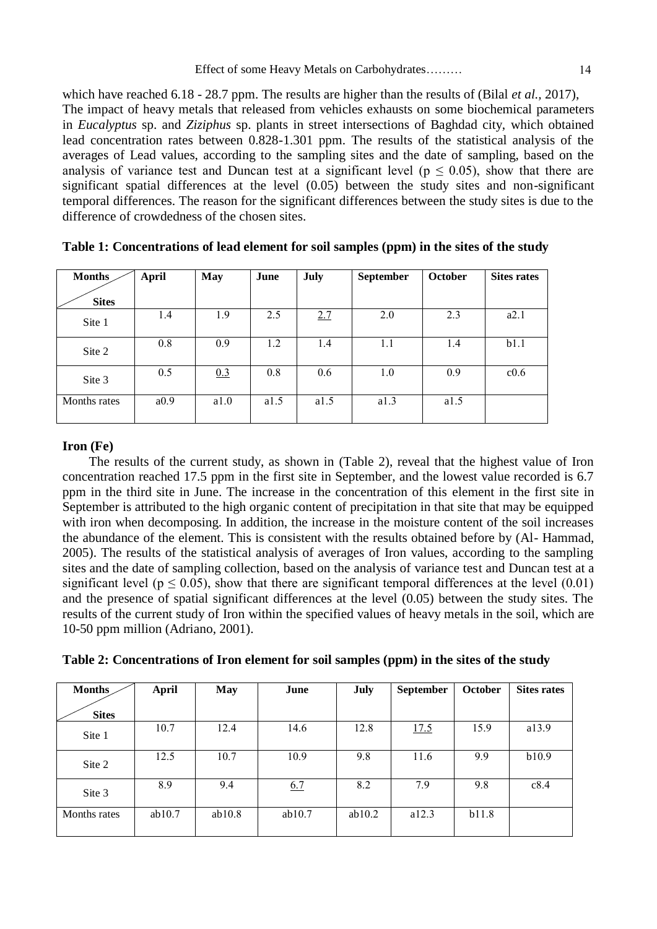which have reached 6.18 - 28.7 ppm. The results are higher than the results of (Bilal *et al.,* 2017), The impact of heavy metals that released from vehicles exhausts on some biochemical parameters in *Eucalyptus* sp. and *Ziziphus* sp. plants in street intersections of Baghdad city, which obtained lead concentration rates between 0.828-1.301 ppm. The results of the statistical analysis of the averages of Lead values, according to the sampling sites and the date of sampling, based on the analysis of variance test and Duncan test at a significant level ( $p \le 0.05$ ), show that there are significant spatial differences at the level (0.05) between the study sites and non-significant temporal differences. The reason for the significant differences between the study sites is due to the difference of crowdedness of the chosen sites.

| <b>Months</b> | April | May  | June | July | <b>September</b> | <b>October</b> | <b>Sites rates</b> |
|---------------|-------|------|------|------|------------------|----------------|--------------------|
| <b>Sites</b>  |       |      |      |      |                  |                |                    |
| Site 1        | 1.4   | 1.9  | 2.5  | 2.7  | 2.0              | 2.3            | a2.1               |
| Site 2        | 0.8   | 0.9  | 1.2  | 1.4  | 1.1              | 1.4            | b1.1               |
| Site 3        | 0.5   | 0.3  | 0.8  | 0.6  | 1.0              | 0.9            | c0.6               |
| Months rates  | a0.9  | a1.0 | a1.5 | a1.5 | a1.3             | a1.5           |                    |

**Table 1: Concentrations of lead element for soil samples (ppm) in the sites of the study**

## **Iron (Fe)**

 The results of the current study, as shown in (Table 2), reveal that the highest value of Iron concentration reached 17.5 ppm in the first site in September, and the lowest value recorded is 6.7 ppm in the third site in June. The increase in the concentration of this element in the first site in September is attributed to the high organic content of precipitation in that site that may be equipped with iron when decomposing. In addition, the increase in the moisture content of the soil increases the abundance of the element. This is consistent with the results obtained before by (Al- Hammad, 2005). The results of the statistical analysis of averages of Iron values, according to the sampling sites and the date of sampling collection, based on the analysis of variance test and Duncan test at a significant level ( $p \le 0.05$ ), show that there are significant temporal differences at the level (0.01) and the presence of spatial significant differences at the level (0.05) between the study sites. The results of the current study of Iron within the specified values of heavy metals in the soil, which are 10-50 ppm million (Adriano, 2001).

| Table 2: Concentrations of Iron element for soil samples (ppm) in the sites of the study |  |  |  |  |
|------------------------------------------------------------------------------------------|--|--|--|--|
|                                                                                          |  |  |  |  |

| <b>Months</b> | <b>April</b> | <b>May</b> | June   | July   | <b>September</b> | <b>October</b> | <b>Sites rates</b> |
|---------------|--------------|------------|--------|--------|------------------|----------------|--------------------|
| <b>Sites</b>  |              |            |        |        |                  |                |                    |
| Site 1        | 10.7         | 12.4       | 14.6   | 12.8   | 17.5             | 15.9           | a13.9              |
| Site 2        | 12.5         | 10.7       | 10.9   | 9.8    | 11.6             | 9.9            | b10.9              |
| Site 3        | 8.9          | 9.4        | 6.7    | 8.2    | 7.9              | 9.8            | c8.4               |
| Months rates  | ab10.7       | ab10.8     | ab10.7 | ab10.2 | a12.3            | b11.8          |                    |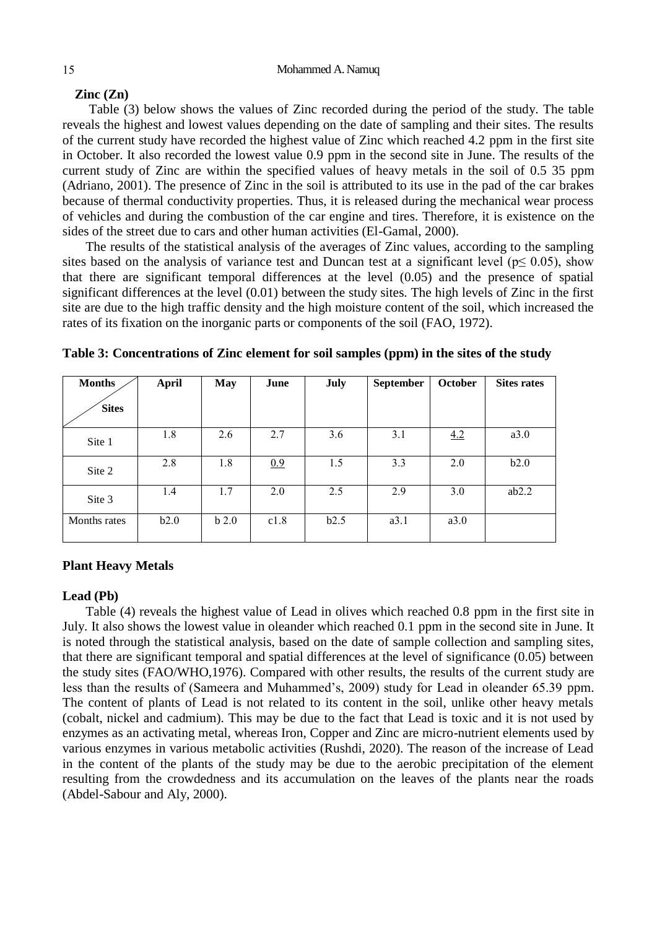## **Zinc (Zn)**

 Table (3) below shows the values of Zinc recorded during the period of the study. The table reveals the highest and lowest values depending on the date of sampling and their sites. The results of the current study have recorded the highest value of Zinc which reached 4.2 ppm in the first site in October. It also recorded the lowest value 0.9 ppm in the second site in June. The results of the current study of Zinc are within the specified values of heavy metals in the soil of 0.5 35 ppm (Adriano, 2001). The presence of Zinc in the soil is attributed to its use in the pad of the car brakes because of thermal conductivity properties. Thus, it is released during the mechanical wear process of vehicles and during the combustion of the car engine and tires. Therefore, it is existence on the sides of the street due to cars and other human activities (El-Gamal, 2000).

 The results of the statistical analysis of the averages of Zinc values, according to the sampling sites based on the analysis of variance test and Duncan test at a significant level ( $p \le 0.05$ ), show that there are significant temporal differences at the level (0.05) and the presence of spatial significant differences at the level (0.01) between the study sites. The high levels of Zinc in the first site are due to the high traffic density and the high moisture content of the soil, which increased the rates of its fixation on the inorganic parts or components of the soil (FAO, 1972).

| <b>Months</b><br><b>Sites</b> | <b>April</b> | <b>May</b> | June | July | <b>September</b> | October | <b>Sites rates</b> |
|-------------------------------|--------------|------------|------|------|------------------|---------|--------------------|
| Site 1                        | 1.8          | 2.6        | 2.7  | 3.6  | 3.1              | 4.2     | a3.0               |
| Site 2                        | 2.8          | 1.8        | 0.9  | 1.5  | 3.3              | 2.0     | b2.0               |
| Site 3                        | 1.4          | 1.7        | 2.0  | 2.5  | 2.9              | 3.0     | ab2.2              |
| Months rates                  | b2.0         | $b$ 2.0    | c1.8 | b2.5 | a3.1             | a3.0    |                    |

**Table 3: Concentrations of Zinc element for soil samples (ppm) in the sites of the study**

## **Plant Heavy Metals**

## **Lead (Pb)**

 Table (4) reveals the highest value of Lead in olives which reached 0.8 ppm in the first site in July. It also shows the lowest value in oleander which reached 0.1 ppm in the second site in June. It is noted through the statistical analysis, based on the date of sample collection and sampling sites, that there are significant temporal and spatial differences at the level of significance (0.05) between the study sites (FAO/WHO,1976). Compared with other results, the results of the current study are less than the results of (Sameera and Muhammed's, 2009) study for Lead in oleander 65.39 ppm. The content of plants of Lead is not related to its content in the soil, unlike other heavy metals (cobalt, nickel and cadmium). This may be due to the fact that Lead is toxic and it is not used by enzymes as an activating metal, whereas Iron, Copper and Zinc are micro-nutrient elements used by various enzymes in various metabolic activities (Rushdi, 2020). The reason of the increase of Lead in the content of the plants of the study may be due to the aerobic precipitation of the element resulting from the crowdedness and its accumulation on the leaves of the plants near the roads (Abdel-Sabour and Aly, 2000).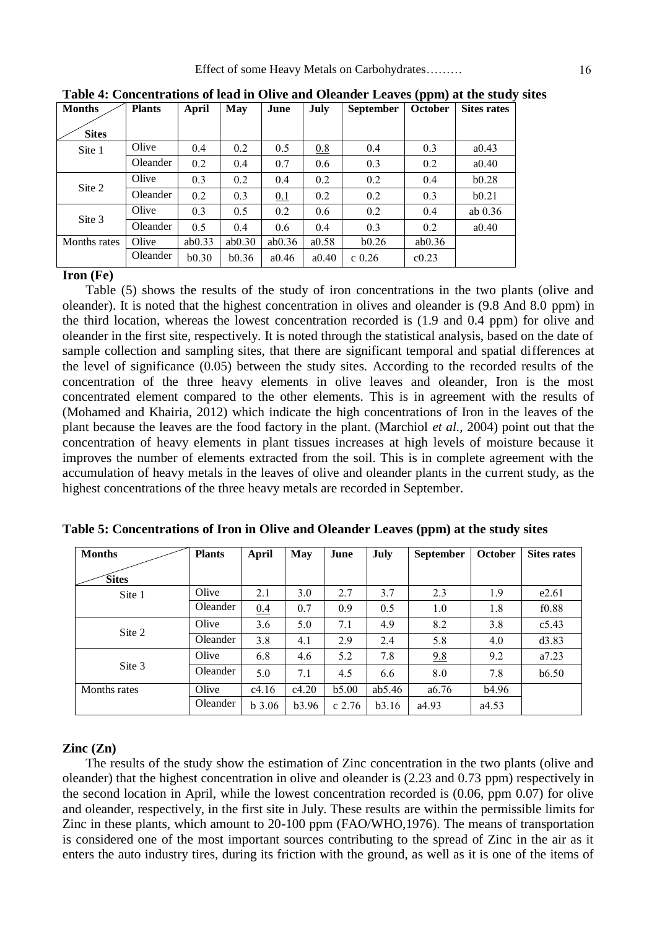| <b>Months</b> | <b>Plants</b> | April  | <b>May</b> | June   | July  | <b>September</b> | <b>October</b>    | <b>Sites rates</b> |
|---------------|---------------|--------|------------|--------|-------|------------------|-------------------|--------------------|
| <b>Sites</b>  |               |        |            |        |       |                  |                   |                    |
| Site 1        | Olive         | 0.4    | 0.2        | 0.5    | 0.8   | 0.4              | 0.3               | a0.43              |
|               | Oleander      | 0.2    | 0.4        | 0.7    | 0.6   | 0.3              | 0.2               | a0.40              |
| Site 2        | Olive         | 0.3    | 0.2        | 0.4    | 0.2   | 0.2              | 0.4               | b0.28              |
|               | Oleander      | 0.2    | 0.3        | 0.1    | 0.2   | 0.2              | 0.3               | b0.21              |
| Site 3        | Olive         | 0.3    | 0.5        | 0.2    | 0.6   | 0.2              | 0.4               | ab $0.36$          |
|               | Oleander      | 0.5    | 0.4        | 0.6    | 0.4   | 0.3              | 0.2               | a0.40              |
| Months rates  | Olive         | ab0.33 | ab0.30     | ab0.36 | a0.58 | b0.26            | ab0.36            |                    |
|               | Oleander      | b0.30  | b0.36      | a0.46  | a0.40 | $c$ 0.26         | c <sub>0.23</sub> |                    |

**Table 4: Concentrations of lead in Olive and Oleander Leaves (ppm) at the study sites**

## **Iron (Fe)**

 Table (5) shows the results of the study of iron concentrations in the two plants (olive and oleander). It is noted that the highest concentration in olives and oleander is (9.8 And 8.0 ppm) in the third location, whereas the lowest concentration recorded is (1.9 and 0.4 ppm) for olive and oleander in the first site, respectively. It is noted through the statistical analysis, based on the date of sample collection and sampling sites, that there are significant temporal and spatial differences at the level of significance (0.05) between the study sites. According to the recorded results of the concentration of the three heavy elements in olive leaves and oleander, Iron is the most concentrated element compared to the other elements. This is in agreement with the results of (Mohamed and Khairia, 2012) which indicate the high concentrations of Iron in the leaves of the plant because the leaves are the food factory in the plant. (Marchiol *et al.,* 2004) point out that the concentration of heavy elements in plant tissues increases at high levels of moisture because it improves the number of elements extracted from the soil. This is in complete agreement with the accumulation of heavy metals in the leaves of olive and oleander plants in the current study, as the highest concentrations of the three heavy metals are recorded in September.

| <b>Months</b> | <b>Plants</b> | April    | <b>May</b> | June     | July   | <b>September</b> | <b>October</b> | <b>Sites rates</b> |
|---------------|---------------|----------|------------|----------|--------|------------------|----------------|--------------------|
| <b>Sites</b>  |               |          |            |          |        |                  |                |                    |
| Site 1        | Olive         | 2.1      | 3.0        | 2.7      | 3.7    | 2.3              | 1.9            | e2.61              |
|               | Oleander      | 0.4      | 0.7        | 0.9      | 0.5    | 1.0              | 1.8            | f <sub>0.88</sub>  |
| Site 2        | Olive         | 3.6      | 5.0        | 7.1      | 4.9    | 8.2              | 3.8            | c5.43              |
|               | Oleander      | 3.8      | 4.1        | 2.9      | 2.4    | 5.8              | 4.0            | d3.83              |
|               | Olive         | 6.8      | 4.6        | 5.2      | 7.8    | 9.8              | 9.2            | a7.23              |
| Site 3        | Oleander      | 5.0      | 7.1        | 4.5      | 6.6    | 8.0              | 7.8            | b6.50              |
| Months rates  | Olive         | c4.16    | c4.20      | b5.00    | ab5.46 | a6.76            | b4.96          |                    |
|               | Oleander      | $b$ 3.06 | b3.96      | $c$ 2.76 | b3.16  | a4.93            | a4.53          |                    |

**Table 5: Concentrations of Iron in Olive and Oleander Leaves (ppm) at the study sites**

## **Zinc (Zn)**

 The results of the study show the estimation of Zinc concentration in the two plants (olive and oleander) that the highest concentration in olive and oleander is (2.23 and 0.73 ppm) respectively in the second location in April, while the lowest concentration recorded is (0.06, ppm 0.07) for olive and oleander, respectively, in the first site in July. These results are within the permissible limits for Zinc in these plants, which amount to 20-100 ppm (FAO/WHO,1976). The means of transportation is considered one of the most important sources contributing to the spread of Zinc in the air as it enters the auto industry tires, during its friction with the ground, as well as it is one of the items of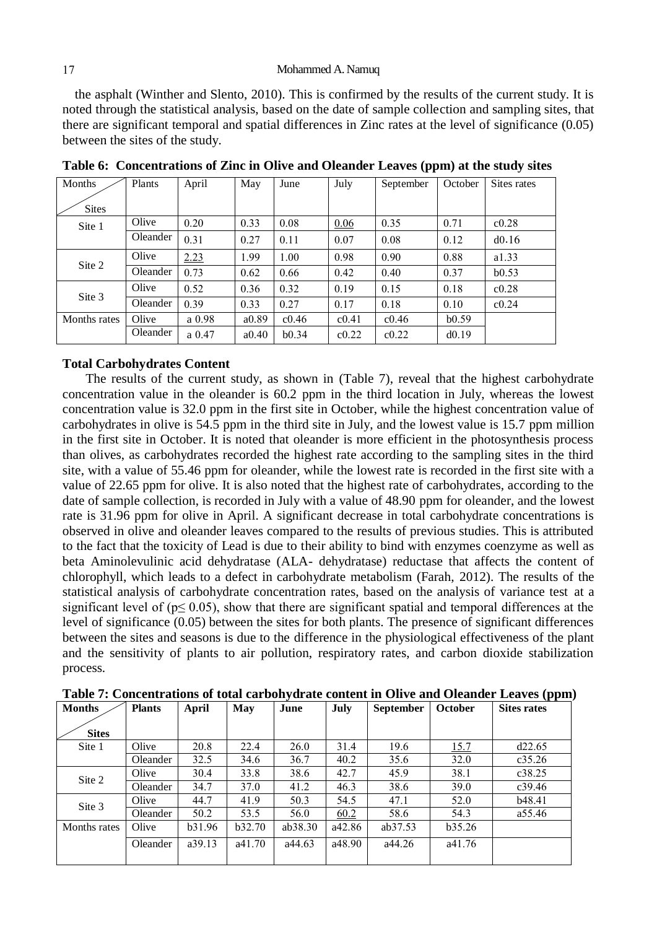the asphalt (Winther and Slento, 2010). This is confirmed by the results of the current study. It is noted through the statistical analysis, based on the date of sample collection and sampling sites, that there are significant temporal and spatial differences in Zinc rates at the level of significance (0.05) between the sites of the study.

| Months       | Plants   | April     | May   | June  | July  | September | October | Sites rates |
|--------------|----------|-----------|-------|-------|-------|-----------|---------|-------------|
| <b>Sites</b> |          |           |       |       |       |           |         |             |
| Site 1       | Olive    | 0.20      | 0.33  | 0.08  | 0.06  | 0.35      | 0.71    | c0.28       |
|              | Oleander | 0.31      | 0.27  | 0.11  | 0.07  | 0.08      | 0.12    | d0.16       |
| Site 2       | Olive    | 2.23      | 1.99  | 1.00  | 0.98  | 0.90      | 0.88    | a1.33       |
|              | Oleander | 0.73      | 0.62  | 0.66  | 0.42  | 0.40      | 0.37    | b0.53       |
|              | Olive    | 0.52      | 0.36  | 0.32  | 0.19  | 0.15      | 0.18    | c0.28       |
| Site 3       | Oleander | 0.39      | 0.33  | 0.27  | 0.17  | 0.18      | 0.10    | c0.24       |
| Months rates | Olive    | a 0.98    | a0.89 | c0.46 | c0.41 | c0.46     | b0.59   |             |
|              | Oleander | $a\ 0.47$ | a0.40 | b0.34 | c0.22 | c0.22     | d0.19   |             |

**Table 6: Concentrations of Zinc in Olive and Oleander Leaves (ppm) at the study sites**

#### **Total Carbohydrates Content**

 The results of the current study, as shown in (Table 7), reveal that the highest carbohydrate concentration value in the oleander is 60.2 ppm in the third location in July, whereas the lowest concentration value is 32.0 ppm in the first site in October, while the highest concentration value of carbohydrates in olive is 54.5 ppm in the third site in July, and the lowest value is 15.7 ppm million in the first site in October. It is noted that oleander is more efficient in the photosynthesis process than olives, as carbohydrates recorded the highest rate according to the sampling sites in the third site, with a value of 55.46 ppm for oleander, while the lowest rate is recorded in the first site with a value of 22.65 ppm for olive. It is also noted that the highest rate of carbohydrates, according to the date of sample collection, is recorded in July with a value of 48.90 ppm for oleander, and the lowest rate is 31.96 ppm for olive in April. A significant decrease in total carbohydrate concentrations is observed in olive and oleander leaves compared to the results of previous studies. This is attributed to the fact that the toxicity of Lead is due to their ability to bind with enzymes coenzyme as well as beta Aminolevulinic acid dehydratase (ALA- dehydratase) reductase that affects the content of chlorophyll, which leads to a defect in carbohydrate metabolism (Farah, 2012). The results of the statistical analysis of carbohydrate concentration rates, based on the analysis of variance test at a significant level of ( $p \le 0.05$ ), show that there are significant spatial and temporal differences at the level of significance (0.05) between the sites for both plants. The presence of significant differences between the sites and seasons is due to the difference in the physiological effectiveness of the plant and the sensitivity of plants to air pollution, respiratory rates, and carbon dioxide stabilization process.

| <b>Months</b> | <b>Plants</b> | April  | <b>May</b>     | June    | July   | <b>September</b> | October | <b>Sites rates</b> |
|---------------|---------------|--------|----------------|---------|--------|------------------|---------|--------------------|
| <b>Sites</b>  |               |        |                |         |        |                  |         |                    |
| Site 1        | Olive         | 20.8   | 22.4           | 26.0    | 31.4   | 19.6             | 15.7    | d22.65             |
|               | Oleander      | 32.5   | 34.6           | 36.7    | 40.2   | 35.6             | 32.0    | c35.26             |
| Site 2        | Olive         | 30.4   | 33.8           | 38.6    | 42.7   | 45.9             | 38.1    | c38.25             |
|               | Oleander      | 34.7   | 37.0           | 41.2    | 46.3   | 38.6             | 39.0    | c39.46             |
| Site 3        | Olive         | 44.7   | 41.9           | 50.3    | 54.5   | 47.1             | 52.0    | b48.41             |
|               | Oleander      | 50.2   | 53.5           | 56.0    | 60.2   | 58.6             | 54.3    | a55.46             |
| Months rates  | Olive         | b31.96 | <b>b</b> 32.70 | ab38.30 | a42.86 | ab37.53          | b35.26  |                    |
|               | Oleander      | a39.13 | a41.70         | a44.63  | a48.90 | a44.26           | a41.76  |                    |

**Table 7: Concentrations of total carbohydrate content in Olive and Oleander Leaves (ppm)**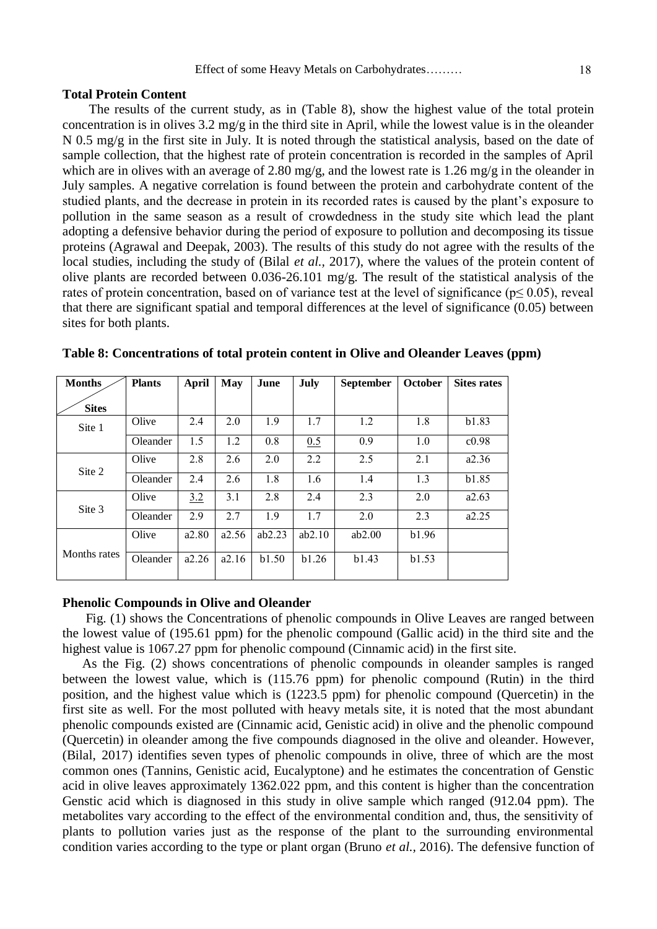#### **Total Protein Content**

 The results of the current study, as in (Table 8), show the highest value of the total protein concentration is in olives 3.2 mg/g in the third site in April, while the lowest value is in the oleander N 0.5 mg/g in the first site in July. It is noted through the statistical analysis, based on the date of sample collection, that the highest rate of protein concentration is recorded in the samples of April which are in olives with an average of 2.80 mg/g, and the lowest rate is 1.26 mg/g in the oleander in July samples. A negative correlation is found between the protein and carbohydrate content of the studied plants, and the decrease in protein in its recorded rates is caused by the plant's exposure to pollution in the same season as a result of crowdedness in the study site which lead the plant adopting a defensive behavior during the period of exposure to pollution and decomposing its tissue proteins (Agrawal and Deepak, 2003). The results of this study do not agree with the results of the local studies, including the study of (Bilal *et al.,* 2017), where the values of the protein content of olive plants are recorded between 0.036-26.101 mg/g. The result of the statistical analysis of the rates of protein concentration, based on of variance test at the level of significance ( $p \le 0.05$ ), reveal that there are significant spatial and temporal differences at the level of significance (0.05) between sites for both plants.

| <b>Months</b> | <b>Plants</b> | April | May   | June   | July   | <b>September</b> | <b>October</b> | <b>Sites rates</b> |
|---------------|---------------|-------|-------|--------|--------|------------------|----------------|--------------------|
| <b>Sites</b>  |               |       |       |        |        |                  |                |                    |
| Site 1        | Olive         | 2.4   | 2.0   | 1.9    | 1.7    | 1.2              | 1.8            | b1.83              |
|               | Oleander      | 1.5   | 1.2   | 0.8    | 0.5    | 0.9              | 1.0            | c0.98              |
| Site 2        | Olive         | 2.8   | 2.6   | 2.0    | 2.2    | 2.5              | 2.1            | a2.36              |
|               | Oleander      | 2.4   | 2.6   | 1.8    | 1.6    | 1.4              | 1.3            | b1.85              |
| Site 3        | Olive         | 3.2   | 3.1   | 2.8    | 2.4    | 2.3              | 2.0            | a2.63              |
|               | Oleander      | 2.9   | 2.7   | 1.9    | 1.7    | 2.0              | 2.3            | a2.25              |
|               | Olive         | a2.80 | a2.56 | ab2.23 | ab2.10 | ab2.00           | b1.96          |                    |
| Months rates  | Oleander      | a2.26 | a2.16 | b1.50  | h1.26  | b1.43            | b1.53          |                    |

**Table 8: Concentrations of total protein content in Olive and Oleander Leaves (ppm)**

#### **Phenolic Compounds in Olive and Oleander**

 Fig. (1) shows the Concentrations of phenolic compounds in Olive Leaves are ranged between the lowest value of (195.61 ppm) for the phenolic compound (Gallic acid) in the third site and the highest value is 1067.27 ppm for phenolic compound (Cinnamic acid) in the first site.

 As the Fig. (2) shows concentrations of phenolic compounds in oleander samples is ranged between the lowest value, which is (115.76 ppm) for phenolic compound (Rutin) in the third position, and the highest value which is (1223.5 ppm) for phenolic compound (Quercetin) in the first site as well. For the most polluted with heavy metals site, it is noted that the most abundant phenolic compounds existed are (Cinnamic acid, Genistic acid) in olive and the phenolic compound (Quercetin) in oleander among the five compounds diagnosed in the olive and oleander. However, (Bilal, 2017) identifies seven types of phenolic compounds in olive, three of which are the most common ones (Tannins, Genistic acid, Eucalyptone) and he estimates the concentration of Genstic acid in olive leaves approximately 1362.022 ppm, and this content is higher than the concentration Genstic acid which is diagnosed in this study in olive sample which ranged (912.04 ppm). The metabolites vary according to the effect of the environmental condition and, thus, the sensitivity of plants to pollution varies just as the response of the plant to the surrounding environmental condition varies according to the type or plant organ (Bruno *et al.,* 2016). The defensive function of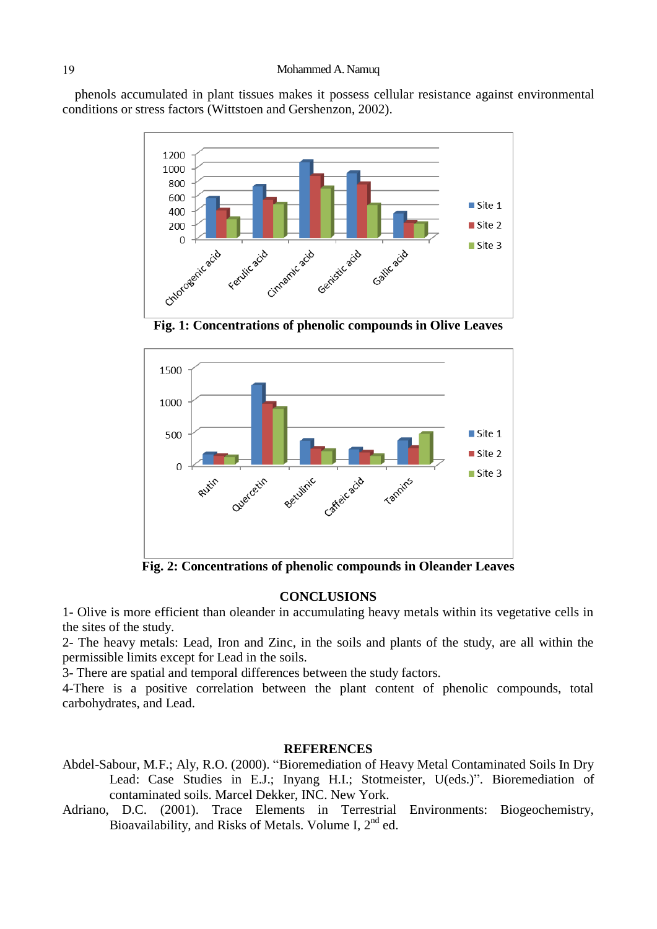phenols accumulated in plant tissues makes it possess cellular resistance against environmental conditions or stress factors (Wittstoen and Gershenzon, 2002).



**Fig. 1: Concentrations of phenolic compounds in Olive Leaves**



**Fig. 2: Concentrations of phenolic compounds in Oleander Leaves**

## **CONCLUSIONS**

1- Olive is more efficient than oleander in accumulating heavy metals within its vegetative cells in the sites of the study.

2- The heavy metals: Lead, Iron and Zinc, in the soils and plants of the study, are all within the permissible limits except for Lead in the soils.

3- There are spatial and temporal differences between the study factors.

4-There is a positive correlation between the plant content of phenolic compounds, total carbohydrates, and Lead.

#### **REFERENCES**

- Abdel-Sabour, M.F.; Aly, R.O. (2000). "Bioremediation of Heavy Metal Contaminated Soils In Dry Lead: Case Studies in E.J.; Inyang H.I.; Stotmeister, U(eds.)". Bioremediation of contaminated soils. Marcel Dekker, INC. New York.
- Adriano, D.C. (2001). Trace Elements in Terrestrial Environments: Biogeochemistry, Bioavailability, and Risks of Metals. Volume I,  $2<sup>nd</sup>$  ed.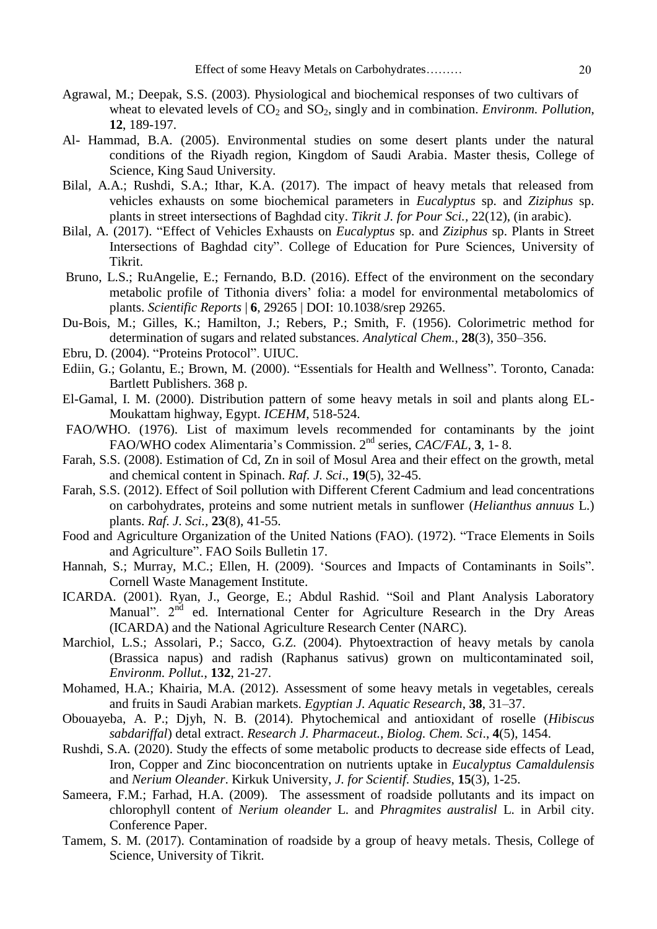- Agrawal, M.; Deepak, S.S. (2003). Physiological and biochemical responses of two cultivars of wheat to elevated levels of  $CO<sub>2</sub>$  and  $SO<sub>2</sub>$ , singly and in combination. *Environm. Pollution*, **12**, 189-197.
- Al- Hammad, B.A. (2005). Environmental studies on some desert plants under the natural conditions of the Riyadh region, Kingdom of Saudi Arabia. Master thesis, College of Science, King Saud University.
- Bilal, A.A.; Rushdi, S.A.; Ithar, K.A. (2017). The impact of heavy metals that released from vehicles exhausts on some biochemical parameters in *Eucalyptus* sp. and *Ziziphus* sp. plants in street intersections of Baghdad city. *Tikrit J. for Pour Sci.,* 22(12), (in arabic).
- Bilal, A. (2017). "Effect of Vehicles Exhausts on *Eucalyptus* sp. and *Ziziphus* sp. Plants in Street Intersections of Baghdad city". College of Education for Pure Sciences, University of Tikrit.
- Bruno, L.S.; RuAngelie, E.; Fernando, B.D. (2016). Effect of the environment on the secondary metabolic profile of Tithonia divers" folia: a model for environmental metabolomics of plants. *Scientific Reports* | **6**, 29265 | DOI: 10.1038/srep 29265.
- Du-Bois, M.; Gilles, K.; Hamilton, J.; Rebers, P.; Smith, F. (1956). Colorimetric method for determination of sugars and related substances. *Analytical Chem.*, **28**(3), 350–356.
- Ebru, D. (2004). "Proteins Protocol". UIUC.
- Ediin, G.; Golantu, E.; Brown, M. (2000). "Essentials for Health and Wellness". Toronto, Canada: Bartlett Publishers. 368 p.
- El-Gamal, I. M. (2000). Distribution pattern of some heavy metals in soil and plants along EL-Moukattam highway, Egypt. *ICEHM*, 518-524.
- FAO/WHO. (1976). List of maximum levels recommended for contaminants by the joint FAO/WHO codex Alimentaria's Commission. 2<sup>nd</sup> series, *CAC/FAL*, **3**, 1-8.
- Farah, S.S. (2008). Estimation of Cd, Zn in soil of Mosul Area and their effect on the growth, metal and chemical content in Spinach. *Raf. J. Sci*., **19**(5), 32-45.
- Farah, S.S. (2012). Effect of Soil pollution with Different Cferent Cadmium and lead concentrations on carbohydrates, proteins and some nutrient metals in sunflower (*Helianthus annuus* L.) plants. *Raf. J. Sci.,* **23**(8), 41-55.
- Food and Agriculture Organization of the United Nations (FAO). (1972). "Trace Elements in Soils and Agriculture". FAO Soils Bulletin 17.
- Hannah, S.; Murray, M.C.; Ellen, H. (2009). "Sources and Impacts of Contaminants in Soils". Cornell Waste Management Institute.
- ICARDA. (2001). Ryan, J., George, E.; Abdul Rashid. "Soil and Plant Analysis Laboratory Manual".  $2<sup>nd</sup>$  ed. International Center for Agriculture Research in the Dry Areas (ICARDA) and the National Agriculture Research Center (NARC).
- Marchiol, L.S.; Assolari, P.; Sacco, G.Z. (2004). Phytoextraction of heavy metals by canola (Brassica napus) and radish (Raphanus sativus) grown on multicontaminated soil, *Environm. Pollut.*, **132**, 21-27.
- Mohamed, H.A.; Khairia, M.A. (2012). Assessment of some heavy metals in vegetables, cereals and fruits in Saudi Arabian markets. *Egyptian J. Aquatic Research*, **38**, 31–37.
- Obouayeba, A. P.; Djyh, N. B. (2014). Phytochemical and antioxidant of roselle (*Hibiscus sabdariffal*) detal extract. *Research J. Pharmaceut., Biolog. Chem. Sci*., **4**(5), 1454.
- Rushdi, S.A. (2020). Study the effects of some metabolic products to decrease side effects of Lead, Iron, Copper and Zinc bioconcentration on nutrients uptake in *Eucalyptus Camaldulensis*  and *Nerium Oleander*. Kirkuk University, *J. for Scientif. Studies*, **15**(3), 1-25.
- Sameera, F.M.; Farhad, H.A. (2009). The assessment of roadside pollutants and its impact on chlorophyll content of *Nerium oleander* L. and *Phragmites australisl* L. in Arbil city. Conference Paper.
- Tamem, S. M. (2017). Contamination of roadside by a group of heavy metals. Thesis, College of Science, University of Tikrit.